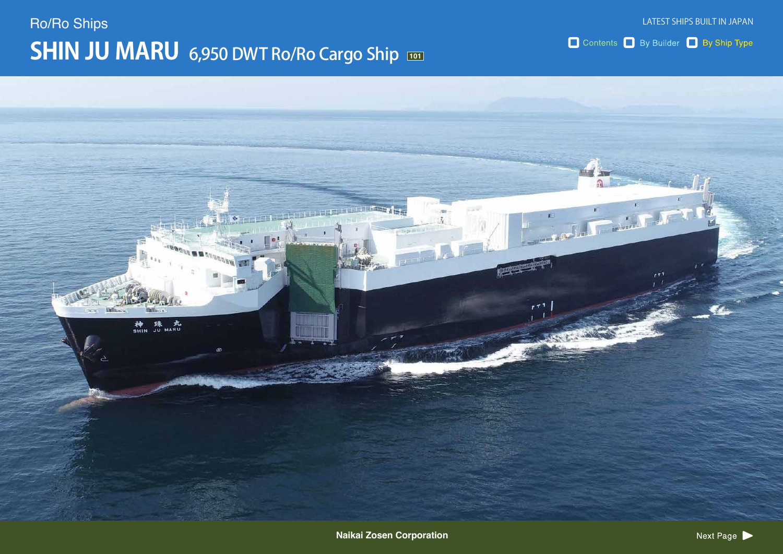# $SHIN$  JU MARU 6,950 DWT Ro/Ro Cargo Ship Ro/Ro Ships

LATEST SHIPS BUILT IN JAPAN

Contents By Builder By Ship Type

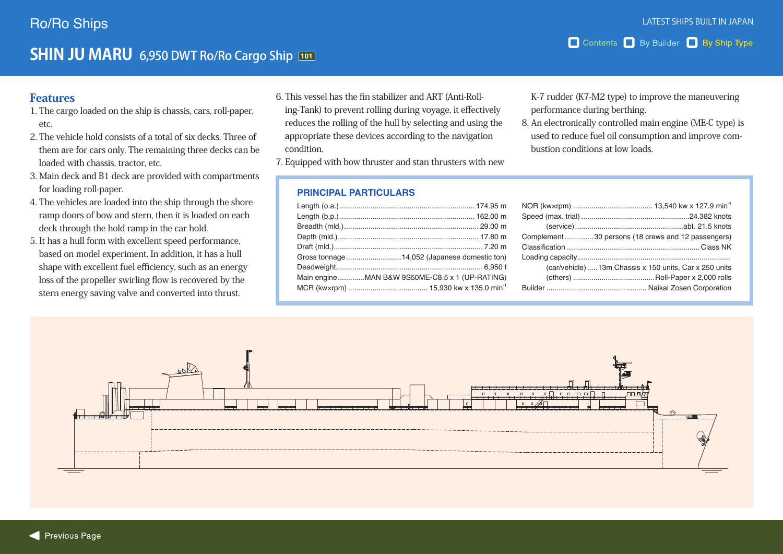### **SHIN JU MARU** 6,950 DWT Ro/Ro Cargo Ship **101**

### Features

- 1. The cargo loaded on the ship is chassis, cars, roll-paper, etc.
- 2. The vehicle hold consists of a total of six decks. Three of them are for cars only. The remaining three decks can be loaded with chassis, tractor, etc.
- 3. Main deck and B1 deck are provided with compartments for loading roll-paper.
- 4. The vehicles are loaded into the ship through the shore ramp doors of bow and stern, then it is loaded on each deck through the hold ramp in the car hold.
- 5. It has a hull form with excellent speed performance, based on model experiment. In addition, it has a hull shape with excellent fuel efficiency, such as an energy loss of the propeller swirling flow is recovered by the stern energy saving valve and converted into thrust.
- ing-Tank) to prevent rolling during voyage, it effectively 6. This vessel has the fin stabilizer and ART (Anti-Rollreduces the rolling of the hull by selecting and using the appropriate these devices according to the navigation .condition
- 7. Equipped with bow thruster and stan thrusters with new

#### **PRINCIPAL PARTICULARS**

| Main engineMAN B&W 9S50ME-C8.5 x 1 (UP-RATING) |
|------------------------------------------------|
|                                                |

K-7 rudder (K7-M2 type) to improve the maneuvering performance during berthing.

8. An electronically controlled main engine (ME-C type) is used to reduce fuel oil consumption and improve com-<br>bustion conditions at low loads.

|  | Complement30 persons (18 crews and 12 passengers)       |  |
|--|---------------------------------------------------------|--|
|  |                                                         |  |
|  |                                                         |  |
|  | (car/vehicle)  13m Chassis x 150 units, Car x 250 units |  |
|  |                                                         |  |
|  |                                                         |  |

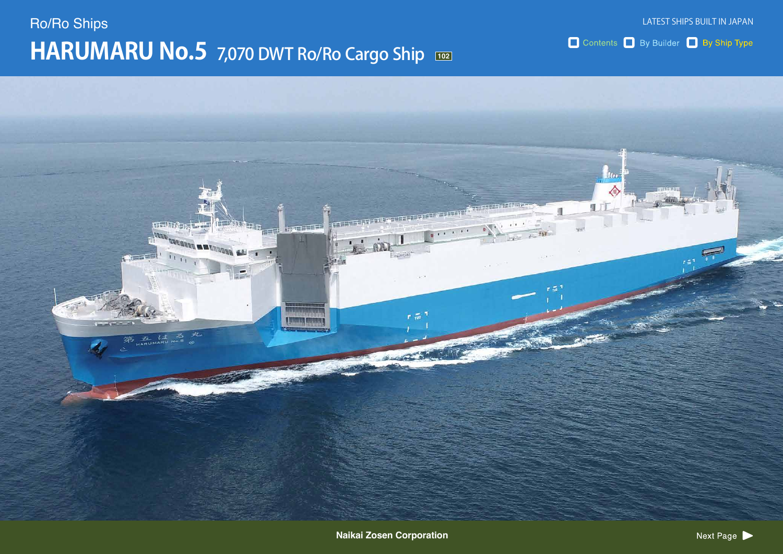# **HARUMARU No.5** 7,070 DWT Ro/Ro Cargo Ship Ro/Ro Ships

Contents By Builder By Ship Type

LATEST SHIPS BUILT IN JAPAN